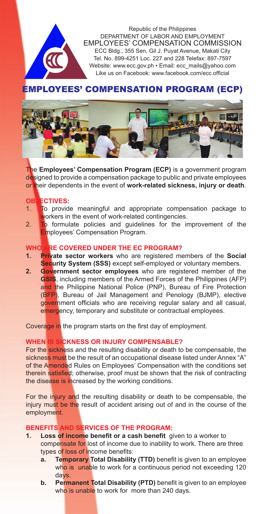

# EMPLOYEES' COMPENSATION PROGRAM (ECP)



The **Employees' Compensation Program (ECP)** is a government program designed to provide a compensation package to public and private employees or their dependents in the event of **work-related sickness, injury or death**.

# **OBJECTIVES:**

- 1. To provide meaningful and appropriate compensation package to workers in the event of work-related contingencies.
- 2. To formulate policies and quidelines for the improvement of the Employees' Compensation Program.

### **WHO ARE COVERED UNDER THE EC PROGRAM?**

- **1. Private sector workers** who are registered members of the **Social Security System (SSS)** except self-employed or voluntary members.
- **2. Government sector employees** who are registered member of the **GSIS**, including members of the Armed Forces of the Philippines (AFP) and the Philippine National Police (PNP), Bureau of Fire Protection (BFP), Bureau of Jail Management and Penology (BJMP), elective government officials who are receiving regular salary and all casual, emergency, temporary and substitute or contractual employees.

Coverage in the program starts on the first day of employment.

#### **WHEN IS SICKNESS OR INJURY COMPENSABLE?**

For the sickness and the resulting disability or death to be compensable, the sickness must be the result of an occupational disease listed under Annex "A" of the Amended Rules on Employees' Compensation with the conditions set therein satisfied; otherwise, proof must be shown that the risk of contracting the disease is increased by the working conditions.

For the injury and the resulting disability or death to be compensable, the injury must be the result of accident arising out of and in the course of the employment.

# **BENEFITS AND SERVICES OF THE PROGRAM:**<br>1. Loss of income benefit or a cash benefit of

- **1. Loss of income benefit or a cash benefit** given to a worker to compensate for lost of income due to inability to work. There are three types of loss of income benefits:
	- **a. Temporary Total Disability (TTD)** benefit is given to an employee who is unable to work for a continuous period not exceeding 120 days.
	- **b. Permanent Total Disability (PTD)** benefit is given to an employee who is unable to work for more than 240 days.